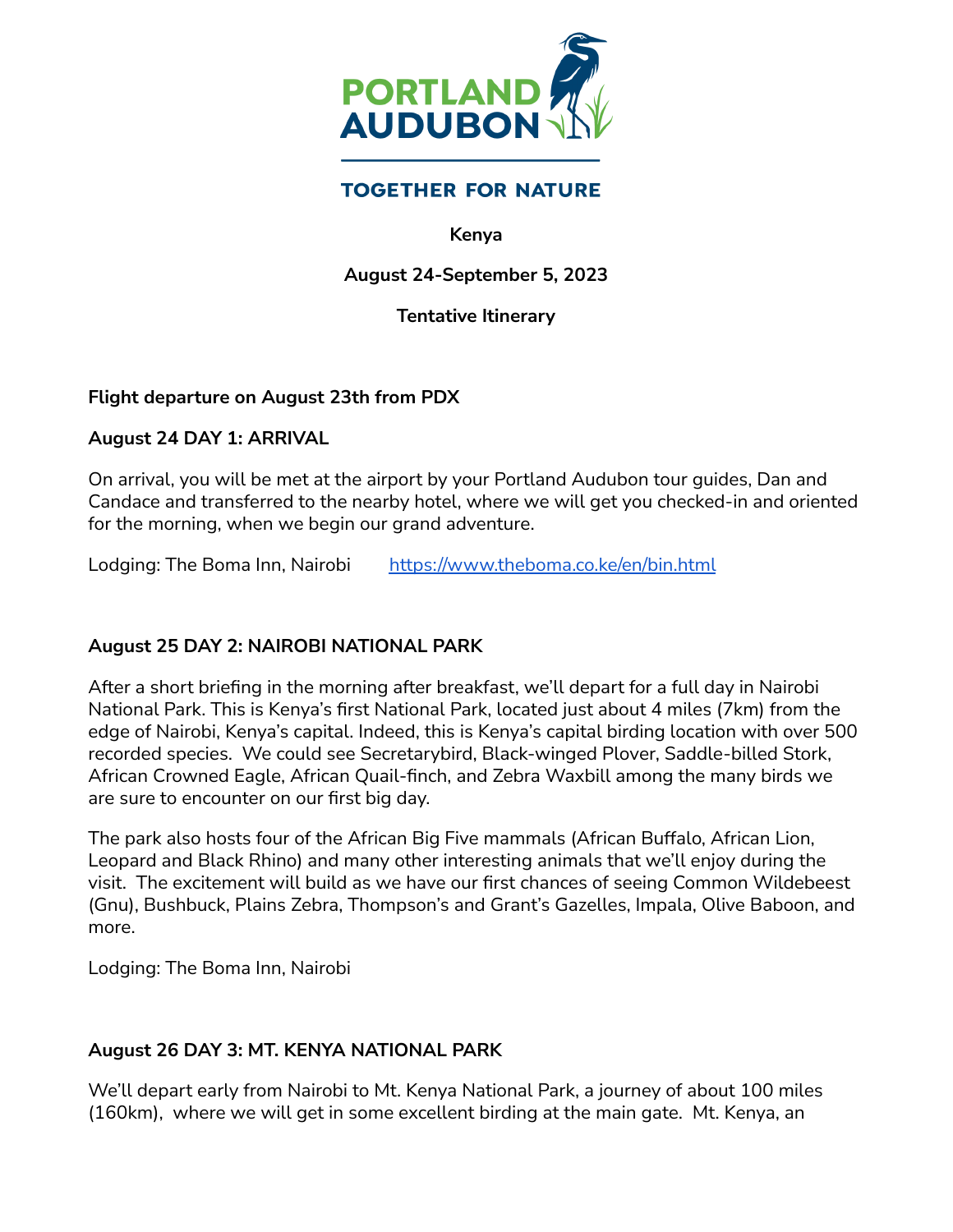

# **TOGETHER FOR NATURE**

#### **Kenya**

### **August 24-September 5, 2023**

### **Tentative Itinerary**

#### **Flight departure on August 23th from PDX**

#### **August 24 DAY 1: ARRIVAL**

On arrival, you will be met at the airport by your Portland Audubon tour guides, Dan and Candace and transferred to the nearby hotel, where we will get you checked-in and oriented for the morning, when we begin our grand adventure.

Lodging: The Boma Inn, Nairobi <https://www.theboma.co.ke/en/bin.html>

## **August 25 DAY 2: NAIROBI NATIONAL PARK**

After a short briefing in the morning after breakfast, we'll depart for a full day in Nairobi National Park. This is Kenya's first National Park, located just about 4 miles (7km) from the edge of Nairobi, Kenya's capital. Indeed, this is Kenya's capital birding location with over 500 recorded species. We could see Secretarybird, Black-winged Plover, Saddle-billed Stork, African Crowned Eagle, African Quail-finch, and Zebra Waxbill among the many birds we are sure to encounter on our first big day.

The park also hosts four of the African Big Five mammals (African Buffalo, African Lion, Leopard and Black Rhino) and many other interesting animals that we'll enjoy during the visit. The excitement will build as we have our first chances of seeing Common Wildebeest (Gnu), Bushbuck, Plains Zebra, Thompson's and Grant's Gazelles, Impala, Olive Baboon, and more.

Lodging: The Boma Inn, Nairobi

## **August 26 DAY 3: MT. KENYA NATIONAL PARK**

We'll depart early from Nairobi to Mt. Kenya National Park, a journey of about 100 miles (160km), where we will get in some excellent birding at the main gate. Mt. Kenya, an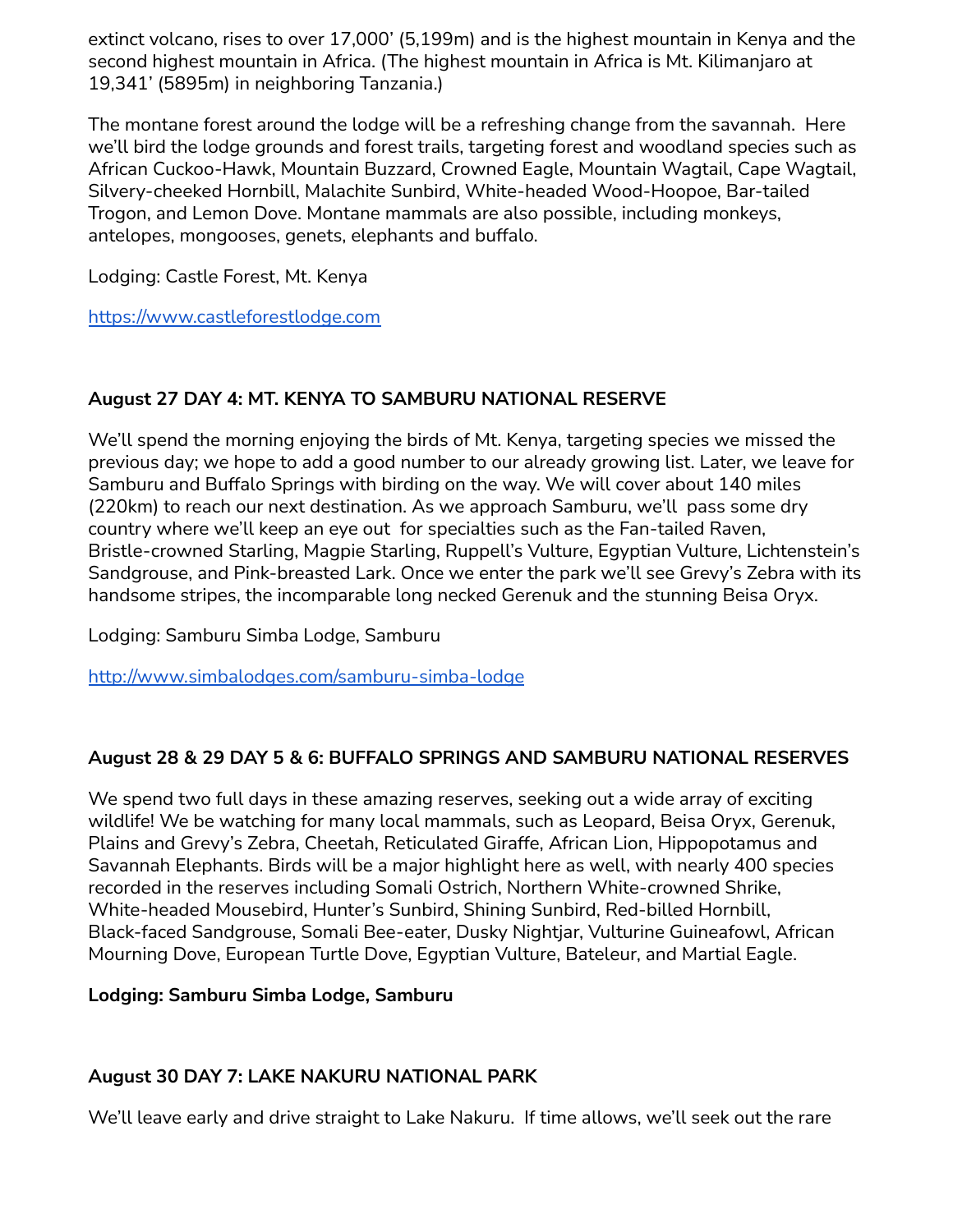extinct volcano, rises to over 17,000' (5,199m) and is the highest mountain in Kenya and the second highest mountain in Africa. (The highest mountain in Africa is Mt. Kilimanjaro at 19,341' (5895m) in neighboring Tanzania.)

The montane forest around the lodge will be a refreshing change from the savannah. Here we'll bird the lodge grounds and forest trails, targeting forest and woodland species such as African Cuckoo-Hawk, Mountain Buzzard, Crowned Eagle, Mountain Wagtail, Cape Wagtail, Silvery-cheeked Hornbill, Malachite Sunbird, White-headed Wood-Hoopoe, Bar-tailed Trogon, and Lemon Dove. Montane mammals are also possible, including monkeys, antelopes, mongooses, genets, elephants and buffalo.

Lodging: Castle Forest, Mt. Kenya

<https://www.castleforestlodge.com>

# **August 27 DAY 4: MT. KENYA TO SAMBURU NATIONAL RESERVE**

We'll spend the morning enjoying the birds of Mt. Kenya, targeting species we missed the previous day; we hope to add a good number to our already growing list. Later, we leave for Samburu and Buffalo Springs with birding on the way. We will cover about 140 miles (220km) to reach our next destination. As we approach Samburu, we'll pass some dry country where we'll keep an eye out for specialties such as the Fan-tailed Raven, Bristle-crowned Starling, Magpie Starling, Ruppell's Vulture, Egyptian Vulture, Lichtenstein's Sandgrouse, and Pink-breasted Lark. Once we enter the park we'll see Grevy's Zebra with its handsome stripes, the incomparable long necked Gerenuk and the stunning Beisa Oryx.

Lodging: Samburu Simba Lodge, Samburu

<http://www.simbalodges.com/samburu-simba-lodge>

## **August 28 & 29 DAY 5 & 6: BUFFALO SPRINGS AND SAMBURU NATIONAL RESERVES**

We spend two full days in these amazing reserves, seeking out a wide array of exciting wildlife! We be watching for many local mammals, such as Leopard, Beisa Oryx, Gerenuk, Plains and Grevy's Zebra, Cheetah, Reticulated Giraffe, African Lion, Hippopotamus and Savannah Elephants. Birds will be a major highlight here as well, with nearly 400 species recorded in the reserves including Somali Ostrich, Northern White-crowned Shrike, White-headed Mousebird, Hunter's Sunbird, Shining Sunbird, Red-billed Hornbill, Black-faced Sandgrouse, Somali Bee-eater, Dusky Nightjar, Vulturine Guineafowl, African Mourning Dove, European Turtle Dove, Egyptian Vulture, Bateleur, and Martial Eagle.

## **Lodging: Samburu Simba Lodge, Samburu**

## **August 30 DAY 7: LAKE NAKURU NATIONAL PARK**

We'll leave early and drive straight to Lake Nakuru. If time allows, we'll seek out the rare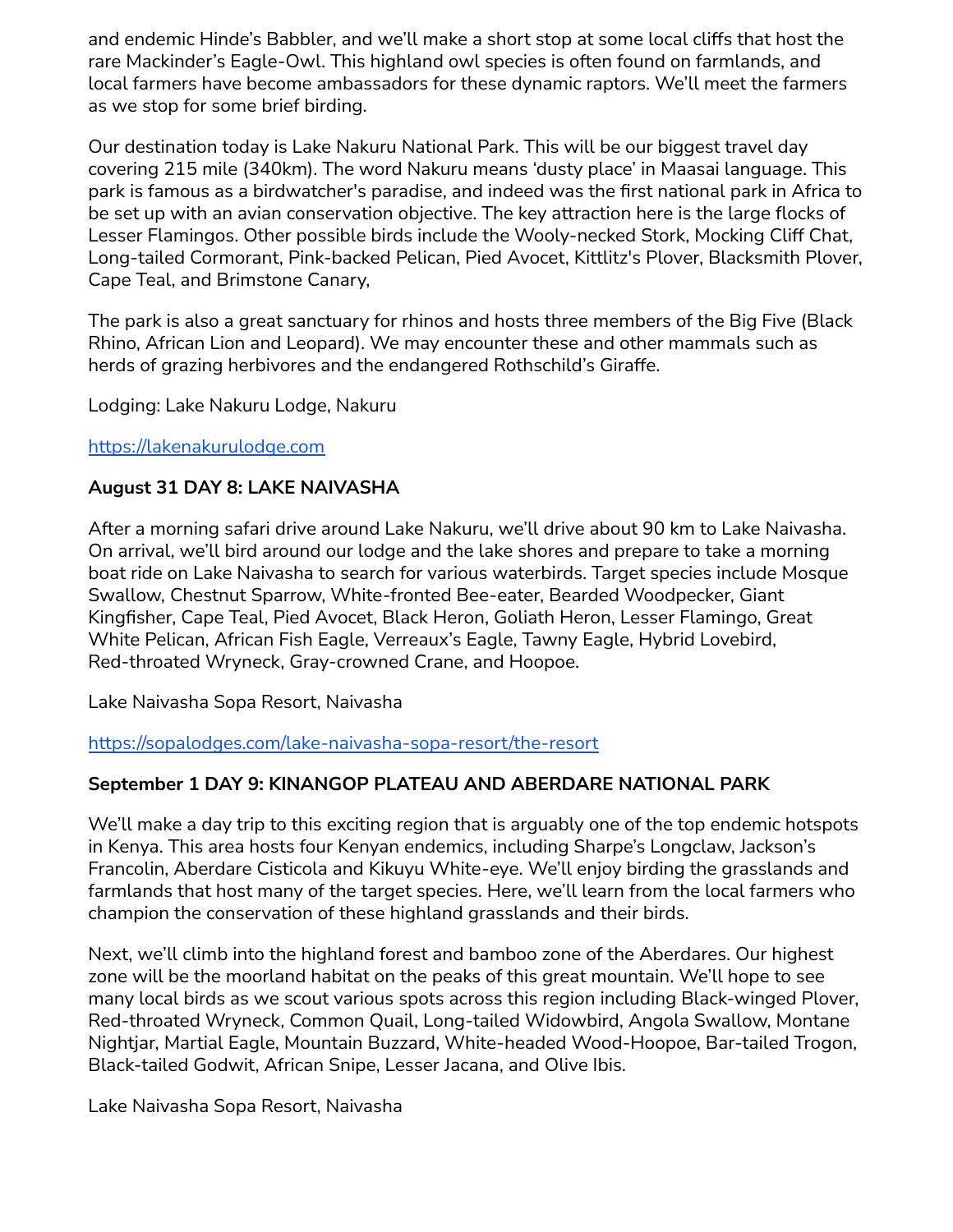and endemic Hinde's Babbler, and we'll make a short stop at some local cliffs that host the rare Mackinder's Eagle-Owl. This highland owl species is often found on farmlands, and local farmers have become ambassadors for these dynamic raptors. We'll meet the farmers as we stop for some brief birding.

Our destination today is Lake Nakuru National Park. This will be our biggest travel day covering 215 mile (340km). The word Nakuru means 'dusty place' in Maasai language. This park is famous as a birdwatcher's paradise, and indeed was the first national park in Africa to be set up with an avian conservation objective. The key attraction here is the large flocks of Lesser Flamingos. Other possible birds include the Wooly-necked Stork, Mocking Cliff Chat, Long-tailed Cormorant, Pink-backed Pelican, Pied Avocet, Kittlitz's Plover, Blacksmith Plover, Cape Teal, and Brimstone Canary,

The park is also a great sanctuary for rhinos and hosts three members of the Big Five (Black Rhino, African Lion and Leopard). We may encounter these and other mammals such as herds of grazing herbivores and the endangered Rothschild's Giraffe.

Lodging: Lake Nakuru Lodge, Nakuru

### <https://lakenakurulodge.com>

### **August 31 DAY 8: LAKE NAIVASHA**

After a morning safari drive around Lake Nakuru, we'll drive about 90 km to Lake Naivasha. On arrival, we'll bird around our lodge and the lake shores and prepare to take a morning boat ride on Lake Naivasha to search for various waterbirds. Target species include Mosque Swallow, Chestnut Sparrow, White-fronted Bee-eater, Bearded Woodpecker, Giant Kingfisher, Cape Teal, Pied Avocet, Black Heron, Goliath Heron, Lesser Flamingo, Great White Pelican, African Fish Eagle, Verreaux's Eagle, Tawny Eagle, Hybrid Lovebird, Red-throated Wryneck, Gray-crowned Crane, and Hoopoe.

Lake Naivasha Sopa Resort, Naivasha

<https://sopalodges.com/lake-naivasha-sopa-resort/the-resort>

## **September 1 DAY 9: KINANGOP PLATEAU AND ABERDARE NATIONAL PARK**

We'll make a day trip to this exciting region that is arguably one of the top endemic hotspots in Kenya. This area hosts four Kenyan endemics, including Sharpe's Longclaw, Jackson's Francolin, Aberdare Cisticola and Kikuyu White-eye. We'll enjoy birding the grasslands and farmlands that host many of the target species. Here, we'll learn from the local farmers who champion the conservation of these highland grasslands and their birds.

Next, we'll climb into the highland forest and bamboo zone of the Aberdares. Our highest zone will be the moorland habitat on the peaks of this great mountain. We'll hope to see many local birds as we scout various spots across this region including Black-winged Plover, Red-throated Wryneck, Common Quail, Long-tailed Widowbird, Angola Swallow, Montane Nightjar, Martial Eagle, Mountain Buzzard, White-headed Wood-Hoopoe, Bar-tailed Trogon, Black-tailed Godwit, African Snipe, Lesser Jacana, and Olive Ibis.

Lake Naivasha Sopa Resort, Naivasha